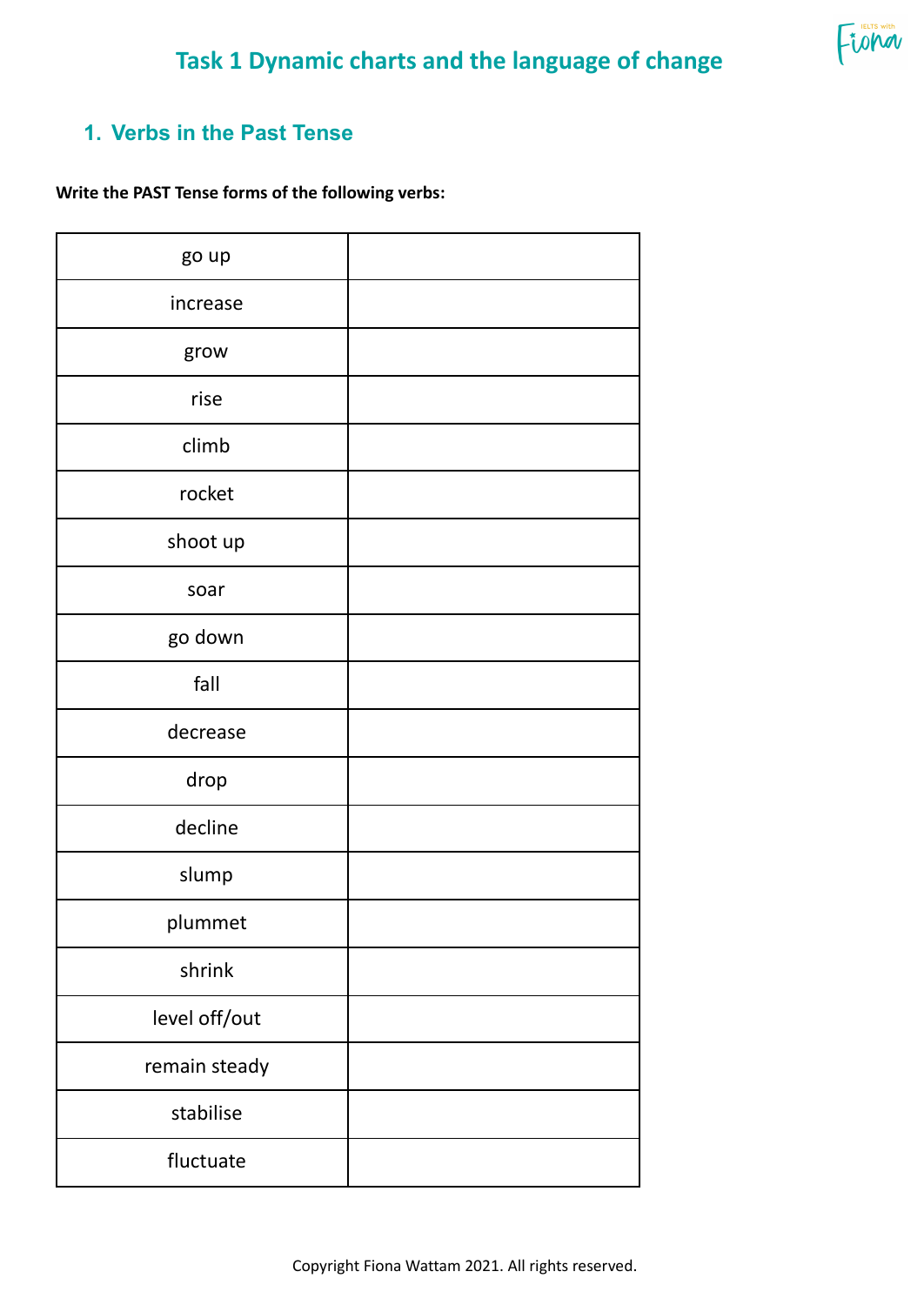

FUND

## **1. Verbs in the Past Tense**

**Write the PAST Tense forms of the following verbs:**

| go up         |  |
|---------------|--|
| increase      |  |
| grow          |  |
| rise          |  |
| climb         |  |
| rocket        |  |
| shoot up      |  |
| soar          |  |
| go down       |  |
| fall          |  |
| decrease      |  |
| drop          |  |
| decline       |  |
| slump         |  |
| plummet       |  |
| shrink        |  |
| level off/out |  |
| remain steady |  |
| stabilise     |  |
| fluctuate     |  |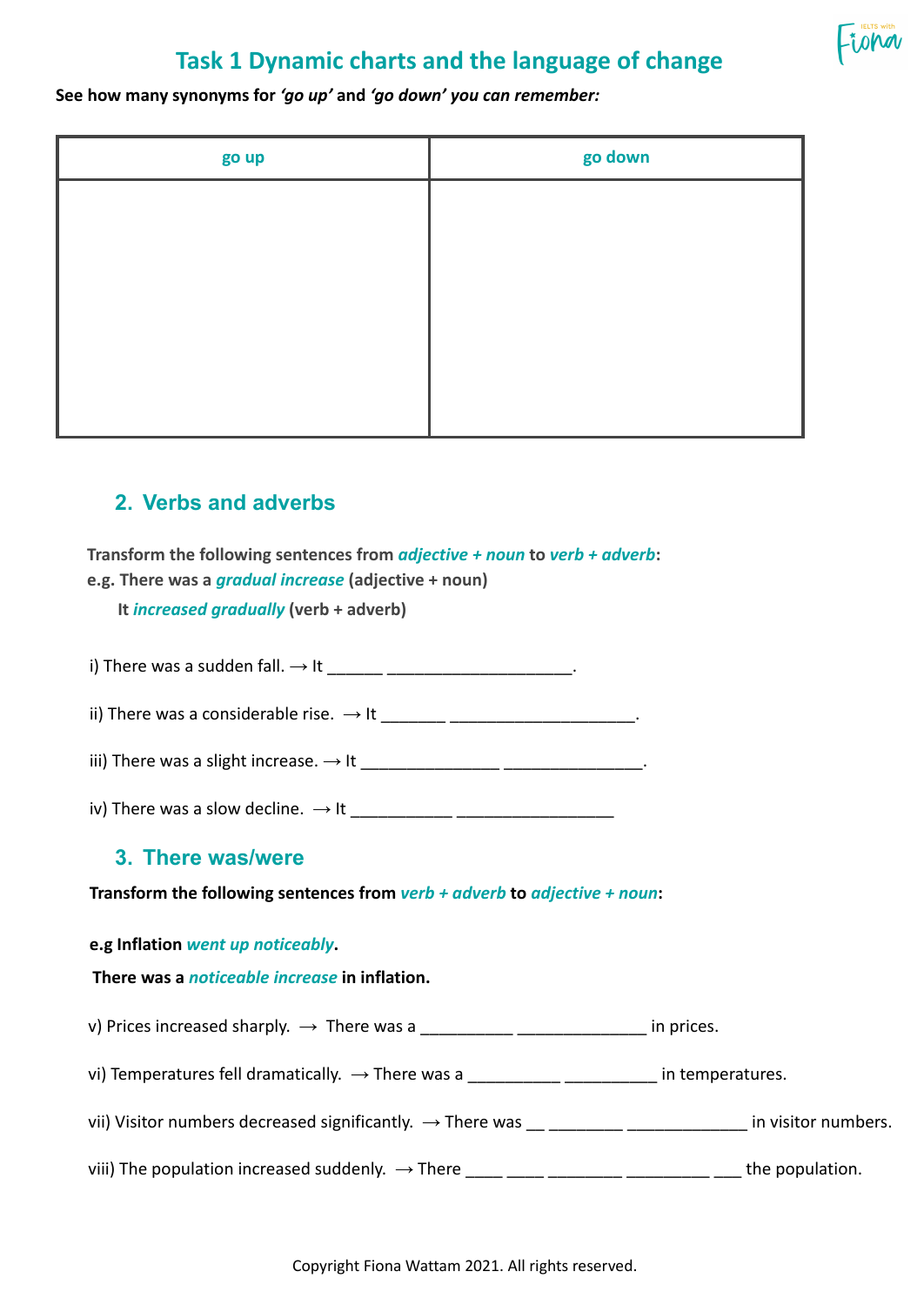

## **Task 1 Dynamic charts and the language of change**

**See how many synonyms for** *'go up'* **and** *'go down' you can remember:*

| go up | go down |
|-------|---------|
|       |         |
|       |         |
|       |         |
|       |         |
|       |         |
|       |         |

### **2. Verbs and adverbs**

**Transform the following sentences from** *adjective + noun* **to** *verb + adverb***: e.g. There was a** *gradual increase* **(adjective + noun)**

**It** *increased gradually* **(verb + adverb)**

i) There was a sudden fall.  $\rightarrow$  It  $\frac{1}{2}$   $\rightarrow$   $\frac{1}{2}$   $\rightarrow$   $\frac{1}{2}$   $\rightarrow$   $\frac{1}{2}$   $\rightarrow$   $\frac{1}{2}$   $\rightarrow$   $\frac{1}{2}$   $\rightarrow$   $\frac{1}{2}$   $\rightarrow$   $\frac{1}{2}$   $\rightarrow$   $\frac{1}{2}$   $\rightarrow$   $\frac{1}{2}$   $\rightarrow$   $\frac{1}{2}$   $\rightarrow$   $\frac{1}{2}$   $\rightarrow$   $\frac{1$ 

ii) There was a considerable rise.  $\rightarrow$  It \_\_\_\_\_\_\_\_\_\_\_\_\_\_\_\_\_\_\_\_\_\_\_\_\_\_\_\_\_\_\_\_.

iii) There was a slight increase. → It \_\_\_\_\_\_\_\_\_\_\_\_\_\_\_ \_\_\_\_\_\_\_\_\_\_\_\_\_\_\_.

iv) There was a slow decline. → It \_\_\_\_\_\_\_\_\_\_\_ \_\_\_\_\_\_\_\_\_\_\_\_\_\_\_\_\_

### **3. There was/were**

**Transform the following sentences from** *verb + adverb* **to** *adjective + noun***:**

**e.g Inflation** *went up noticeably***.**

#### **There was a** *noticeable increase* **in inflation.**

v) Prices increased sharply.  $\rightarrow$  There was a \_\_\_\_\_\_\_\_\_\_\_\_\_\_\_\_\_\_\_\_\_\_\_\_\_\_\_\_\_\_\_\_ in prices.

vi) Temperatures fell dramatically.  $\rightarrow$  There was a \_\_\_\_\_\_\_\_\_\_\_\_\_\_\_\_\_\_\_\_\_\_\_\_\_\_ in temperatures.

vii) Visitor numbers decreased significantly.  $\rightarrow$  There was  $\underline{\hspace{1cm}}$  \_\_\_\_\_\_\_\_\_\_\_\_\_\_\_\_\_\_\_\_\_\_\_ in visitor numbers.

viii) The population increased suddenly.  $\rightarrow$  There  $\frac{1}{2}$   $\frac{1}{2}$   $\frac{1}{2}$   $\frac{1}{2}$   $\frac{1}{2}$   $\frac{1}{2}$  the population.

Copyright Fiona Wattam 2021. All rights reserved.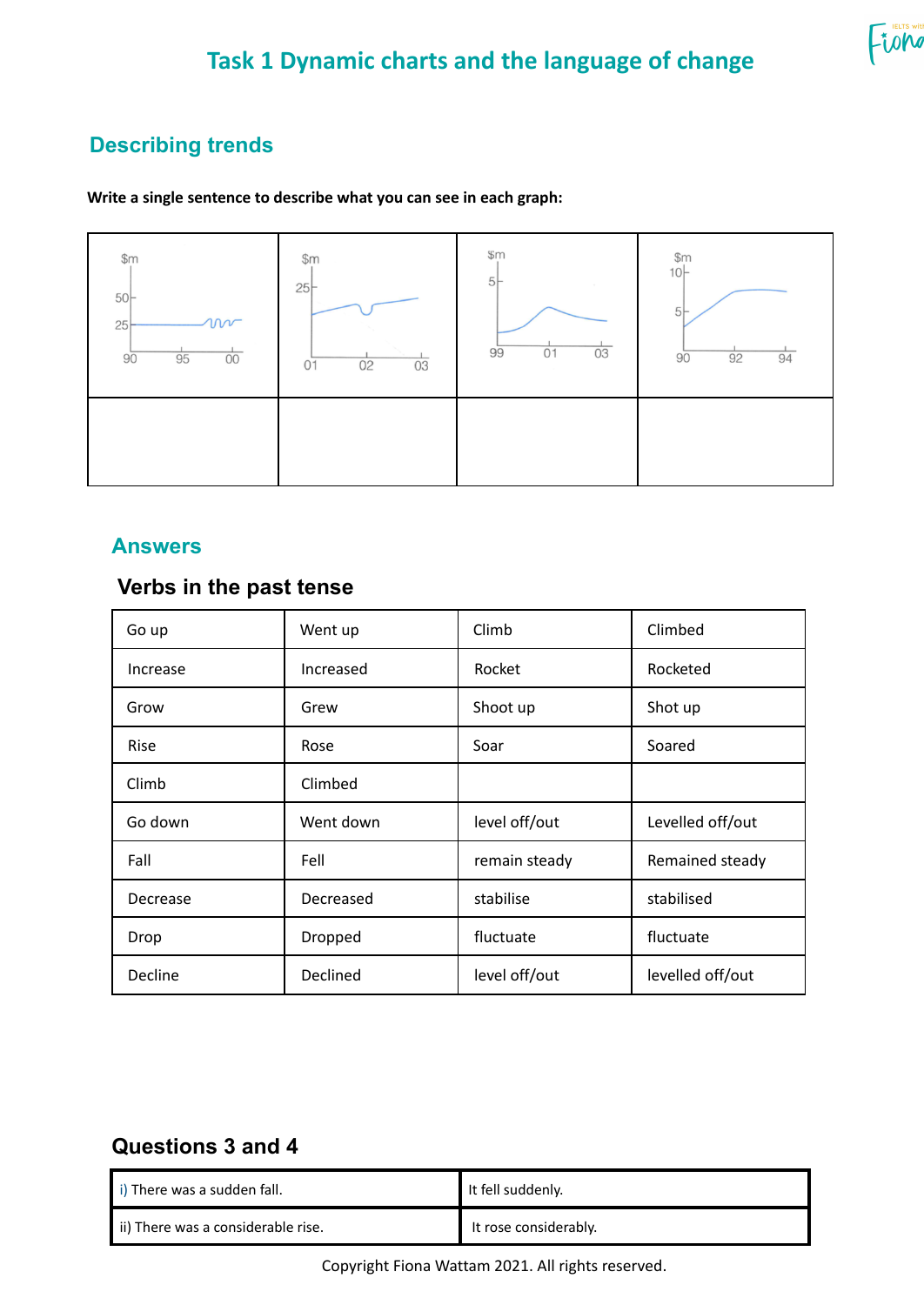# **Task 1 Dynamic charts and the language of change**

## **Describing trends**

#### **Write a single sentence to describe what you can see in each graph:**



### **Answers**

### **Verbs in the past tense**

| Go up       | Went up   | Climb         | Climbed          |
|-------------|-----------|---------------|------------------|
| Increase    | Increased | Rocket        | Rocketed         |
| Grow        | Grew      | Shoot up      | Shot up          |
| <b>Rise</b> | Rose      | Soar          | Soared           |
| Climb       | Climbed   |               |                  |
| Go down     | Went down | level off/out | Levelled off/out |
| Fall        | Fell      | remain steady | Remained steady  |
| Decrease    | Decreased | stabilise     | stabilised       |
| Drop        | Dropped   | fluctuate     | fluctuate        |
| Decline     | Declined  | level off/out | levelled off/out |

### **Questions 3 and 4**

| i) There was a sudden fall.        | It fell suddenly.     |
|------------------------------------|-----------------------|
| ii) There was a considerable rise. | It rose considerably. |